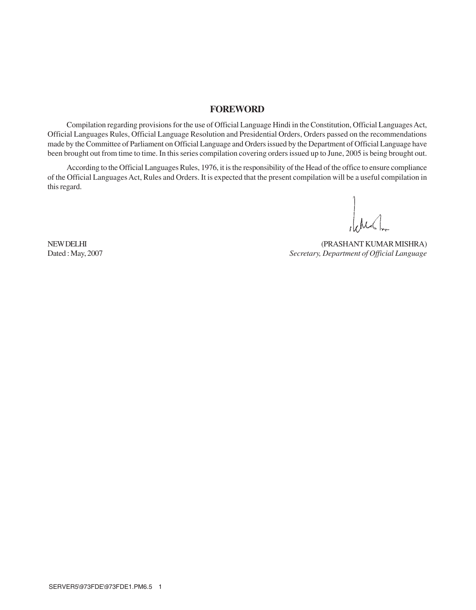### **FOREWORD**

Compilation regarding provisions for the use of Official Language Hindi in the Constitution, Official Languages Act, Official Languages Rules, Official Language Resolution and Presidential Orders, Orders passed on the recommendations made by the Committee of Parliament on Official Language and Orders issued by the Department of Official Language have been brought out from time to time. In this series compilation covering orders issued up to June, 2005 is being brought out.

According to the Official Languages Rules, 1976, it is the responsibility of the Head of the office to ensure compliance of the Official Languages Act, Rules and Orders. It is expected that the present compilation will be a useful compilation in this regard.

della

NEW DELHI (PRASHANT KUMAR MISHRA) Dated : May, 2007 *Secretary, Department of Official Language*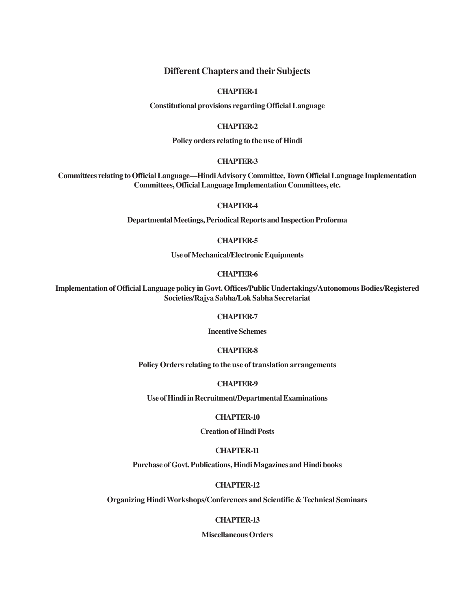#### **Different Chapters and their Subjects**

#### **CHAPTER-1**

**Constitutional provisions regarding Official Language**

#### **CHAPTER-2**

**Policy orders relating to the use of Hindi**

#### **CHAPTER-3**

**Committees relating to Official Language—Hindi Advisory Committee, Town Official Language Implementation Committees, Official Language Implementation Committees, etc.**

#### **CHAPTER-4**

**Departmental Meetings, Periodical Reports and Inspection Proforma**

#### **CHAPTER-5**

**Use of Mechanical/Electronic Equipments**

#### **CHAPTER-6**

**Implementation of Official Language policy in Govt. Offices/Public Undertakings/Autonomous Bodies/Registered Societies/Rajya Sabha/Lok Sabha Secretariat**

#### **CHAPTER-7**

**Incentive Schemes**

#### **CHAPTER-8**

**Policy Orders relating to the use of translation arrangements**

#### **CHAPTER-9**

**Use of Hindi in Recruitment/Departmental Examinations**

#### **CHAPTER-10**

#### **Creation of Hindi Posts**

#### **CHAPTER-11**

**Purchase of Govt. Publications, Hindi Magazines and Hindi books**

#### **CHAPTER-12**

**Organizing Hindi Workshops/Conferences and Scientific & Technical Seminars**

#### **CHAPTER-13**

**Miscellaneous Orders**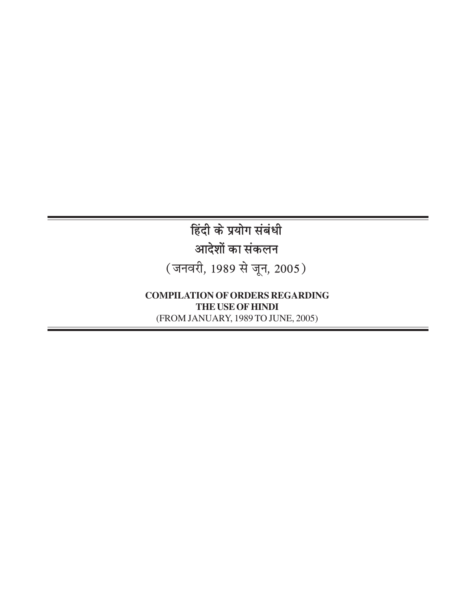**हिंदी के प्रयोग संबंधी** आदेशों का संकलन (जनवरी, 1989 से जून, 2005)

**COMPILATION OF ORDERS REGARDING THE USE OF HINDI** (FROM JANUARY, 1989 TO JUNE, 2005)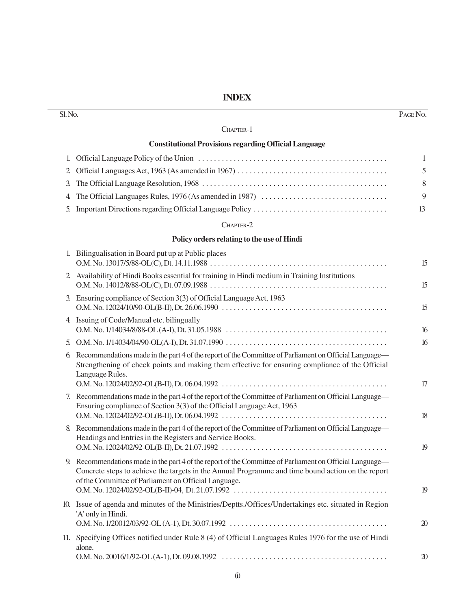**INDEX**

| Sl. No.        |                                                                                                                                                                                                                                                                    | PAGE No.       |
|----------------|--------------------------------------------------------------------------------------------------------------------------------------------------------------------------------------------------------------------------------------------------------------------|----------------|
|                | CHAPTER-1                                                                                                                                                                                                                                                          |                |
|                | <b>Constitutional Provisions regarding Official Language</b>                                                                                                                                                                                                       |                |
|                |                                                                                                                                                                                                                                                                    | 1              |
| $\overline{2}$ |                                                                                                                                                                                                                                                                    | 5              |
| 3.             |                                                                                                                                                                                                                                                                    | 8              |
| 4.             |                                                                                                                                                                                                                                                                    | 9              |
| 5.             |                                                                                                                                                                                                                                                                    | 13             |
|                | CHAPTER-2                                                                                                                                                                                                                                                          |                |
|                | Policy orders relating to the use of Hindi                                                                                                                                                                                                                         |                |
|                | 1. Bilingualisation in Board put up at Public places                                                                                                                                                                                                               | 15             |
|                | 2 Availability of Hindi Books essential for training in Hindi medium in Training Institutions                                                                                                                                                                      | 15             |
|                | 3. Ensuring compliance of Section 3(3) of Official Language Act, 1963                                                                                                                                                                                              | 15             |
|                | 4. Issuing of Code/Manual etc. bilingually                                                                                                                                                                                                                         | 16             |
| 5.             |                                                                                                                                                                                                                                                                    | 16             |
|                | 6. Recommendations made in the part 4 of the report of the Committee of Parliament on Official Language—<br>Strengthening of check points and making them effective for ensuring compliance of the Official<br>Language Rules.                                     | 17             |
|                | 7. Recommendations made in the part 4 of the report of the Committee of Parliament on Official Language—<br>Ensuring compliance of Section 3(3) of the Official Language Act, 1963                                                                                 | 18             |
|                | 8. Recommendations made in the part 4 of the report of the Committee of Parliament on Official Language—<br>Headings and Entries in the Registers and Service Books.                                                                                               |                |
|                |                                                                                                                                                                                                                                                                    | 19             |
|                | Recommendations made in the part 4 of the report of the Committee of Parliament on Official Language—<br>Concrete steps to achieve the targets in the Annual Programme and time bound action on the report<br>of the Committee of Parliament on Official Language. | 19             |
|                | 10. Issue of agenda and minutes of the Ministries/Deptts./Offices/Undertakings etc. situated in Region<br>'A' only in Hindi.                                                                                                                                       | $\mathfrak{D}$ |
|                | 11. Specifying Offices notified under Rule 8 (4) of Official Languages Rules 1976 for the use of Hindi<br>alone.                                                                                                                                                   | $\mathfrak{D}$ |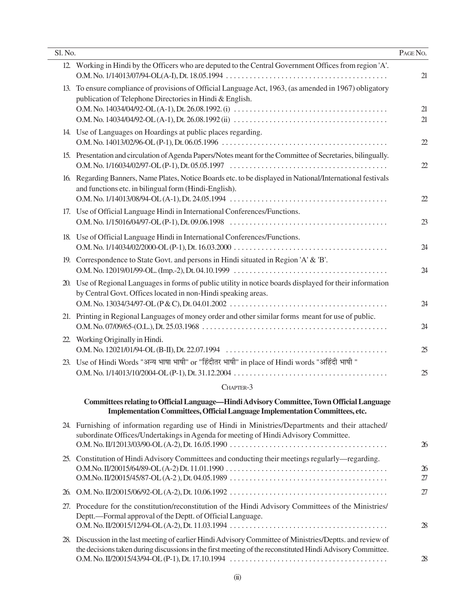| Sl. No. |                                                                                                                                                                                                                          | PAGE No.             |
|---------|--------------------------------------------------------------------------------------------------------------------------------------------------------------------------------------------------------------------------|----------------------|
| 12.     | Working in Hindi by the Officers who are deputed to the Central Government Offices from region 'A'.                                                                                                                      | 21                   |
| 13.     | To ensure compliance of provisions of Official Language Act, 1963, (as amended in 1967) obligatory<br>publication of Telephone Directories in Hindi & English.                                                           | 21<br>21             |
|         | 14. Use of Languages on Hoardings at public places regarding.                                                                                                                                                            | $\mathfrak{D}$       |
|         | 15. Presentation and circulation of Agenda Papers/Notes meant for the Committee of Secretaries, bilingually.                                                                                                             | $\mathfrak{D}$       |
| 16.     | Regarding Banners, Name Plates, Notice Boards etc. to be displayed in National/International festivals<br>and functions etc. in bilingual form (Hindi-English).                                                          | $\mathfrak{D}$       |
|         | 17. Use of Official Language Hindi in International Conferences/Functions.                                                                                                                                               | 23                   |
|         | 18. Use of Official Language Hindi in International Conferences/Functions.                                                                                                                                               | 24                   |
|         | 19. Correspondence to State Govt. and persons in Hindi situated in Region 'A' & 'B'.                                                                                                                                     | 24                   |
| 20.     | Use of Regional Languages in forms of public utility in notice boards displayed for their information<br>by Central Govt. Offices located in non-Hindi speaking areas.                                                   | 24                   |
|         | 21. Printing in Regional Languages of money order and other similar forms meant for use of public.                                                                                                                       | 24                   |
| 22.     | Working Originally in Hindi.                                                                                                                                                                                             | 25                   |
|         | 23. Use of Hindi Words "अन्य भाषा भाषी" or "हिंदीतर भाषी" in place of Hindi words "अहिंदी भाषी "                                                                                                                         | 25                   |
|         | CHAPTER-3                                                                                                                                                                                                                |                      |
|         | Committees relating to Official Language-Hindi Advisory Committee, Town Official Language<br>Implementation Committees, Official Language Implementation Committees, etc.                                                |                      |
|         | 24. Furnishing of information regarding use of Hindi in Ministries/Departments and their attached/<br>subordinate Offices/Undertakings in Agenda for meeting of Hindi Advisory Committee.                                | $\boldsymbol{\chi}$  |
|         | 25. Constitution of Hindi Advisory Committees and conducting their meetings regularly—regarding.                                                                                                                         | $\mathfrak{B}$<br>27 |
| 26.     |                                                                                                                                                                                                                          | 27                   |
|         | 27. Procedure for the constitution/reconstitution of the Hindi Advisory Committees of the Ministries/<br>Deptt.—Formal approval of the Deptt. of Official Language.                                                      | 28                   |
|         | 28. Discussion in the last meeting of earlier Hindi Advisory Committee of Ministries/Deptts. and review of<br>the decisions taken during discussions in the first meeting of the reconstituted Hindi Advisory Committee. | 28                   |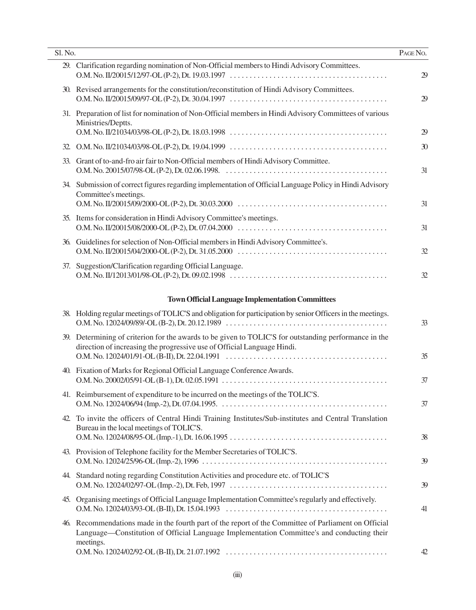| Sl. No. |                                                                                                                                                                                                                                                                               | PAGE NO.       |
|---------|-------------------------------------------------------------------------------------------------------------------------------------------------------------------------------------------------------------------------------------------------------------------------------|----------------|
|         | 29. Clarification regarding nomination of Non-Official members to Hindi Advisory Committees.                                                                                                                                                                                  | $\mathfrak{B}$ |
|         | 30. Revised arrangements for the constitution/reconstitution of Hindi Advisory Committees.                                                                                                                                                                                    | 29             |
|         | 31. Preparation of list for nomination of Non-Official members in Hindi Advisory Committees of various<br>Ministries/Deptts.                                                                                                                                                  | 29             |
|         |                                                                                                                                                                                                                                                                               | 30             |
| 33.     | Grant of to-and-fro air fair to Non-Official members of Hindi Advisory Committee.                                                                                                                                                                                             | 31             |
|         | 34. Submission of correct figures regarding implementation of Official Language Policy in Hindi Advisory<br>Committee's meetings.<br>O.M. No. II/20015/09/2000-OL (P-2), Dt. 30.03.2000 $\ldots \ldots \ldots \ldots \ldots \ldots \ldots \ldots \ldots \ldots \ldots \ldots$ | 31             |
|         | 35. Items for consideration in Hindi Advisory Committee's meetings.                                                                                                                                                                                                           | 31             |
|         | 36. Guidelines for selection of Non-Official members in Hindi Advisory Committee's.<br>O.M. No. II/20015/04/2000-OL (P-2), Dt. 31.05.2000 $\ldots \ldots \ldots \ldots \ldots \ldots \ldots \ldots \ldots \ldots \ldots \ldots$                                               | 32             |
| 37.     | Suggestion/Clarification regarding Official Language.                                                                                                                                                                                                                         | 32             |
|         | <b>Town Official Language Implementation Committees</b>                                                                                                                                                                                                                       |                |
|         | 38. Holding regular meetings of TOLIC'S and obligation for participation by senior Officers in the meetings.                                                                                                                                                                  | 33             |
|         | 39. Determining of criterion for the awards to be given to TOLIC'S for outstanding performance in the<br>direction of increasing the progressive use of Official Language Hindi.                                                                                              | 35             |
|         | 40. Fixation of Marks for Regional Official Language Conference Awards.                                                                                                                                                                                                       | 37             |
|         | 41. Reimbursement of expenditure to be incurred on the meetings of the TOLIC'S.                                                                                                                                                                                               | 37             |
| 42.     | To invite the officers of Central Hindi Training Institutes/Sub-institutes and Central Translation<br>Bureau in the local meetings of TOLIC'S.                                                                                                                                | 38             |
|         | 43. Provision of Telephone facility for the Member Secretaries of TOLIC'S.                                                                                                                                                                                                    | 39             |
|         | 44. Standard noting regarding Constitution Activities and procedure etc. of TOLIC'S                                                                                                                                                                                           | 39             |
|         | 45. Organising meetings of Official Language Implementation Committee's regularly and effectively.                                                                                                                                                                            | 41             |
|         | 46. Recommendations made in the fourth part of the report of the Committee of Parliament on Official<br>Language—Constitution of Official Language Implementation Committee's and conducting their<br>meetings.                                                               | 42             |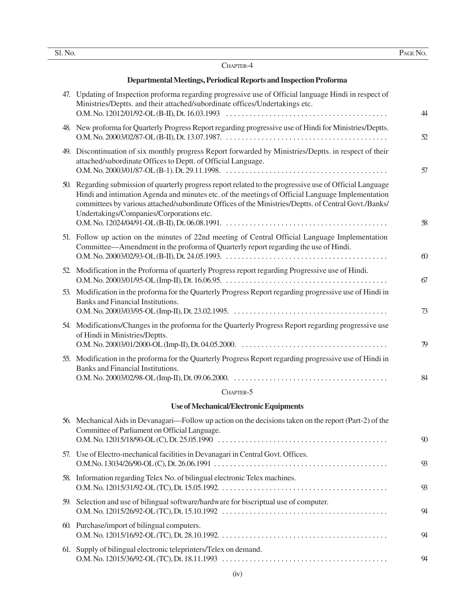|    | × |
|----|---|
| v  | ٠ |
| ۰. |   |
|    |   |

#### CHAPTER-4

#### **Departmental Meetings, Periodical Reports and Inspection Proforma**

| 47. Updating of Inspection proforma regarding progressive use of Official language Hindi in respect of<br>Ministries/Deptts. and their attached/subordinate offices/Undertakings etc.                                                                                                                                                                             | 44             |
|-------------------------------------------------------------------------------------------------------------------------------------------------------------------------------------------------------------------------------------------------------------------------------------------------------------------------------------------------------------------|----------------|
| 48. New proforma for Quarterly Progress Report regarding progressive use of Hindi for Ministries/Deptts.                                                                                                                                                                                                                                                          | 52             |
| 49. Discontinuation of six monthly progress Report forwarded by Ministries/Deptts. in respect of their<br>attached/subordinate Offices to Deptt. of Official Language.                                                                                                                                                                                            | 57             |
| 50. Regarding submission of quarterly progress report related to the progressive use of Official Language<br>Hindi and intimation Agenda and minutes etc. of the meetings of Official Language Implementation<br>committees by various attached/subordinate Offices of the Ministries/Deptts. of Central Govt./Banks/<br>Undertakings/Companies/Corporations etc. | 58             |
| 51. Follow up action on the minutes of 22nd meeting of Central Official Language Implementation<br>Committee—Amendment in the proforma of Quarterly report regarding the use of Hindi.                                                                                                                                                                            | $\omega$       |
| 52. Modification in the Proforma of quarterly Progress report regarding Progressive use of Hindi.                                                                                                                                                                                                                                                                 | 67             |
| 53. Modification in the proforma for the Quarterly Progress Report regarding progressive use of Hindi in<br>Banks and Financial Institutions.                                                                                                                                                                                                                     | 73             |
| 54. Modifications/Changes in the proforma for the Quarterly Progress Report regarding progressive use<br>of Hindi in Ministries/Deptts.                                                                                                                                                                                                                           | 79             |
| 55. Modification in the proforma for the Quarterly Progress Report regarding progressive use of Hindi in<br>Banks and Financial Institutions.                                                                                                                                                                                                                     | 84             |
| CHAPTER-5                                                                                                                                                                                                                                                                                                                                                         |                |
| <b>Use of Mechanical/Electronic Equipments</b>                                                                                                                                                                                                                                                                                                                    |                |
| 56. Mechanical Aids in Devanagari—Follow up action on the decisions taken on the report (Part-2) of the<br>Committee of Parliament on Official Language.                                                                                                                                                                                                          | $\mathfrak{N}$ |
| 57. Use of Electro-mechanical facilities in Devanagari in Central Govt. Offices.                                                                                                                                                                                                                                                                                  | 93             |
| 58. Information regarding Telex No. of bilingual electronic Telex machines.                                                                                                                                                                                                                                                                                       | 93             |
| 59. Selection and use of bilingual software/hardware for biscriptual use of computer.                                                                                                                                                                                                                                                                             | 94             |
| 60. Purchase/import of bilingual computers.                                                                                                                                                                                                                                                                                                                       |                |

|                                                                  | $\mathbf{\alpha}$ |
|------------------------------------------------------------------|-------------------|
| 61. Supply of bilingual electronic teleprinters/Telex on demand. |                   |
|                                                                  | $\mathbf{\alpha}$ |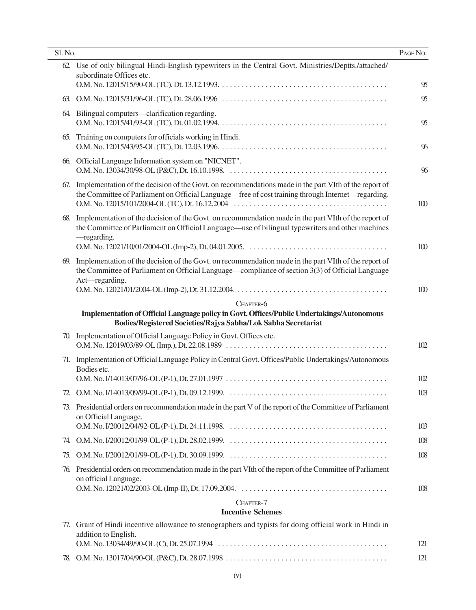| Sl. No. |                                                                                                                                                                                                                                | PAGE NO. |
|---------|--------------------------------------------------------------------------------------------------------------------------------------------------------------------------------------------------------------------------------|----------|
|         | 62. Use of only bilingual Hindi-English typewriters in the Central Govt. Ministries/Deptts./attached/<br>subordinate Offices etc.                                                                                              | 95       |
|         |                                                                                                                                                                                                                                | 95       |
|         | 64. Bilingual computers—clarification regarding.                                                                                                                                                                               | 95       |
|         | 65. Training on computers for officials working in Hindi.                                                                                                                                                                      | 96       |
|         | 66. Official Language Information system on "NICNET".                                                                                                                                                                          | 96       |
|         | 67. Implementation of the decision of the Govt. on recommendations made in the part VIth of the report of<br>the Committee of Parliament on Official Language—free of cost training through Internet—regarding.                | 100      |
|         | 68. Implementation of the decision of the Govt. on recommendation made in the part VIth of the report of<br>the Committee of Parliament on Official Language—use of bilingual typewriters and other machines<br>-regarding.    |          |
|         |                                                                                                                                                                                                                                | 100      |
|         | 69. Implementation of the decision of the Govt. on recommendation made in the part VIth of the report of<br>the Committee of Parliament on Official Language—compliance of section 3(3) of Official Language<br>Act-regarding. |          |
|         |                                                                                                                                                                                                                                | 100      |
|         | CHAPTER-6<br>Implementation of Official Language policy in Govt. Offices/Public Undertakings/Autonomous                                                                                                                        |          |
|         | Bodies/Registered Societies/Rajya Sabha/Lok Sabha Secretariat                                                                                                                                                                  |          |
| 70.     | Implementation of Official Language Policy in Govt. Offices etc.                                                                                                                                                               | 102      |
|         | 71. Implementation of Official Language Policy in Central Govt. Offices/Public Undertakings/Autonomous<br>Bodies etc.                                                                                                          |          |
|         |                                                                                                                                                                                                                                | 102      |
|         |                                                                                                                                                                                                                                | 103      |
|         | 73. Presidential orders on recommendation made in the part V of the report of the Committee of Parliament<br>on Official Language.                                                                                             | 103      |
|         |                                                                                                                                                                                                                                | 108      |
| 75.     |                                                                                                                                                                                                                                | 108      |
| 76.     | Presidential orders on recommendation made in the part VIth of the report of the Committee of Parliament<br>on official Language.                                                                                              | 108      |
|         | CHAPTER-7                                                                                                                                                                                                                      |          |
|         | <b>Incentive Schemes</b>                                                                                                                                                                                                       |          |
|         | 77. Grant of Hindi incentive allowance to stenographers and typists for doing official work in Hindi in<br>addition to English.                                                                                                |          |
|         |                                                                                                                                                                                                                                | 121      |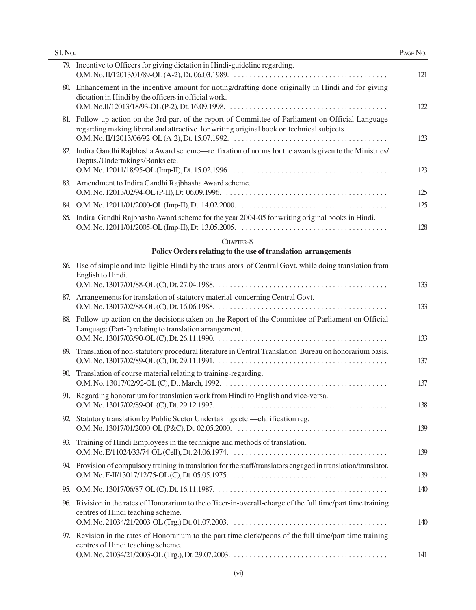| Sl. No. |                                                                                                                                                                                                | PAGE No. |
|---------|------------------------------------------------------------------------------------------------------------------------------------------------------------------------------------------------|----------|
|         | 79. Incentive to Officers for giving dictation in Hindi-guideline regarding.                                                                                                                   | 121      |
|         | 80. Enhancement in the incentive amount for noting/drafting done originally in Hindi and for giving<br>dictation in Hindi by the officers in official work.                                    | 122      |
|         | 81. Follow up action on the 3rd part of the report of Committee of Parliament on Official Language<br>regarding making liberal and attractive for writing original book on technical subjects. | 123      |
| 82.     | Indira Gandhi Rajbhasha Award scheme—re. fixation of norms for the awards given to the Ministries/<br>Deptts./Undertakings/Banks etc.                                                          | 123      |
|         | 83. Amendment to Indira Gandhi Rajbhasha Award scheme.                                                                                                                                         | 125      |
|         |                                                                                                                                                                                                | 125      |
| 85.     | Indira Gandhi Rajbhasha Award scheme for the year 2004-05 for writing original books in Hindi.                                                                                                 | 128      |
|         | CHAPTER-8                                                                                                                                                                                      |          |
|         | Policy Orders relating to the use of translation arrangements                                                                                                                                  |          |
|         | 86. Use of simple and intelligible Hindi by the translators of Central Govt. while doing translation from<br>English to Hindi.                                                                 | 133      |
|         | 87. Arrangements for translation of statutory material concerning Central Govt.                                                                                                                | 133      |
| 88.     | Follow-up action on the decisions taken on the Report of the Committee of Parliament on Official<br>Language (Part-I) relating to translation arrangement.                                     | 133      |
|         | 89. Translation of non-statutory procedural literature in Central Translation Bureau on honorarium basis.                                                                                      | 137      |
| 90.     | Translation of course material relating to training-regarding.                                                                                                                                 | 137      |
|         | 91. Regarding honorarium for translation work from Hindi to English and vice-versa.                                                                                                            | 138      |
|         | 92. Statutory translation by Public Sector Undertakings etc.—clarification reg.                                                                                                                | 139      |
|         | 93. Training of Hindi Employees in the technique and methods of translation.                                                                                                                   | 139      |
|         | 94. Provision of compulsory training in translation for the staff/translators engaged in translation/translator.                                                                               | 139      |
|         |                                                                                                                                                                                                | 140      |
|         | 96. Rivision in the rates of Honorarium to the officer-in-overall-charge of the full time/part time training<br>centres of Hindi teaching scheme.                                              | 140      |
|         | 97. Revision in the rates of Honorarium to the part time clerk/peons of the full time/part time training<br>centres of Hindi teaching scheme.                                                  | 141      |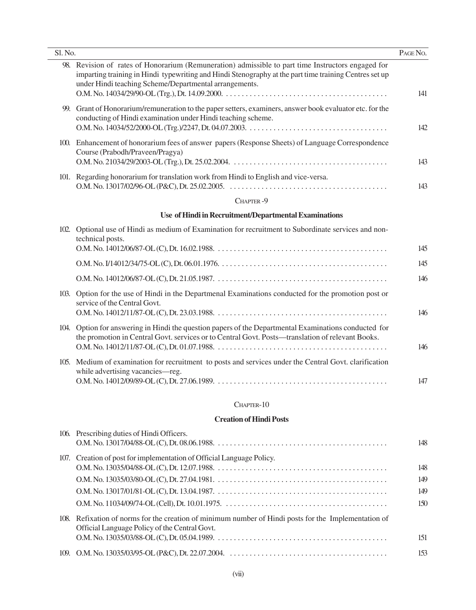| Sl. No. |                                                                                                                                                                                                                                                                        | PAGE No. |
|---------|------------------------------------------------------------------------------------------------------------------------------------------------------------------------------------------------------------------------------------------------------------------------|----------|
|         | 98. Revision of rates of Honorarium (Remuneration) admissible to part time Instructors engaged for<br>imparting training in Hindi typewriting and Hindi Stenography at the part time training Centres set up<br>under Hindi teaching Scheme/Departmental arrangements. | 141      |
|         | 99. Grant of Honorarium/remuneration to the paper setters, examiners, answer book evaluator etc. for the<br>conducting of Hindi examination under Hindi teaching scheme.                                                                                               | 142      |
|         | 100. Enhancement of honorarium fees of answer papers (Response Sheets) of Language Correspondence<br>Course (Prabodh/Praveen/Pragya)                                                                                                                                   | 143      |
|         | 101. Regarding honorarium for translation work from Hindi to English and vice-versa.                                                                                                                                                                                   | 143      |
|         | CHAPTER-9                                                                                                                                                                                                                                                              |          |
|         | Use of Hindi in Recruitment/Departmental Examinations                                                                                                                                                                                                                  |          |
|         | 102. Optional use of Hindi as medium of Examination for recruitment to Subordinate services and non-<br>technical posts.                                                                                                                                               | 145      |
|         |                                                                                                                                                                                                                                                                        | 145      |
|         |                                                                                                                                                                                                                                                                        | 146      |
|         | 103. Option for the use of Hindi in the Departmenal Examinations conducted for the promotion post or<br>service of the Central Govt.                                                                                                                                   | 146      |
| 104.    | Option for answering in Hindi the question papers of the Departmental Examinations conducted for<br>the promotion in Central Govt. services or to Central Govt. Posts—translation of relevant Books.                                                                   | 146      |
|         | 105. Medium of examination for recruitment to posts and services under the Central Govt. clarification<br>while advertising vacancies-reg.                                                                                                                             | 147      |
|         |                                                                                                                                                                                                                                                                        |          |

### CHAPTER-10

#### **Creation of Hindi Posts**

| 106. Prescribing duties of Hindi Officers.                                                                                                            | 148 |
|-------------------------------------------------------------------------------------------------------------------------------------------------------|-----|
| 107. Creation of post for implementation of Official Language Policy.                                                                                 | 148 |
|                                                                                                                                                       | 149 |
|                                                                                                                                                       | 149 |
|                                                                                                                                                       | 150 |
| 108. Refixation of norms for the creation of minimum number of Hindi posts for the Implementation of<br>Official Language Policy of the Central Govt. |     |
|                                                                                                                                                       | 151 |
|                                                                                                                                                       | 153 |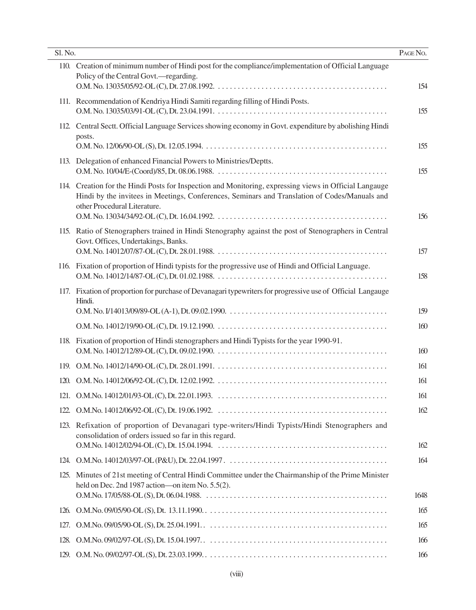| Sl. No. |                                                                                                                                                                                                                                         | PAGE NO.   |
|---------|-----------------------------------------------------------------------------------------------------------------------------------------------------------------------------------------------------------------------------------------|------------|
|         | 110. Creation of minimum number of Hindi post for the compliance/implementation of Official Language<br>Policy of the Central Govt.—regarding.                                                                                          | 154        |
|         | 111. Recommendation of Kendriya Hindi Samiti regarding filling of Hindi Posts.                                                                                                                                                          | 155        |
|         | 112. Central Sectt. Official Language Services showing economy in Govt. expenditure by abolishing Hindi<br>posts.                                                                                                                       | 155        |
|         | 113. Delegation of enhanced Financial Powers to Ministries/Deptts.                                                                                                                                                                      | 155        |
|         | 114. Creation for the Hindi Posts for Inspection and Monitoring, expressing views in Official Langauge<br>Hindi by the invitees in Meetings, Conferences, Seminars and Translation of Codes/Manuals and<br>other Procedural Literature. | 156        |
|         | 115. Ratio of Stenographers trained in Hindi Stenography against the post of Stenographers in Central<br>Govt. Offices, Undertakings, Banks.                                                                                            | 157        |
|         | 116. Fixation of proportion of Hindi typists for the progressive use of Hindi and Official Language.                                                                                                                                    | 158        |
|         | 117. Fixation of proportion for purchase of Devanagari typewriters for progressive use of Official Langauge<br>Hindi.                                                                                                                   | 159        |
|         |                                                                                                                                                                                                                                         | 160        |
|         | 118. Fixation of proportion of Hindi stenographers and Hindi Typists for the year 1990-91.                                                                                                                                              | 160        |
|         |                                                                                                                                                                                                                                         | 161        |
| 120.    |                                                                                                                                                                                                                                         | 161        |
|         |                                                                                                                                                                                                                                         | 161        |
|         |                                                                                                                                                                                                                                         | 162        |
| 123.    | Refixation of proportion of Devanagari type-writers/Hindi Typists/Hindi Stenographers and<br>consolidation of orders issued so far in this regard.                                                                                      | 162        |
|         |                                                                                                                                                                                                                                         | 164        |
|         | 125. Minutes of 21st meeting of Central Hindi Committee under the Chairmanship of the Prime Minister<br>held on Dec. 2nd 1987 action—on item No. 5.5(2).                                                                                | 1648       |
| 126.    |                                                                                                                                                                                                                                         |            |
|         |                                                                                                                                                                                                                                         | 165<br>165 |
| 127.    |                                                                                                                                                                                                                                         | 166        |
| 128.    |                                                                                                                                                                                                                                         | 166        |
|         |                                                                                                                                                                                                                                         |            |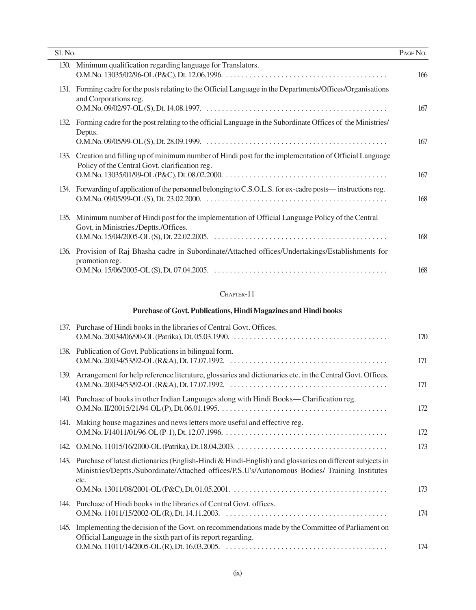| Sl. No. |                                                                                                                                                            | PAGE NO. |
|---------|------------------------------------------------------------------------------------------------------------------------------------------------------------|----------|
| 130.    | Minimum qualification regarding language for Translators.                                                                                                  | 166      |
|         | 131. Forming cadre for the posts relating to the Official Language in the Departments/Offices/Organisations<br>and Corporations reg.                       | 167      |
|         | 132. Forming cadre for the post relating to the official Language in the Subordinate Offices of the Ministries<br>Deptts.                                  | 167      |
|         | 133. Creation and filling up of minimum number of Hindi post for the implementation of Official Language<br>Policy of the Central Govt. clarification reg. | 167      |
|         | 134. Forwarding of application of the personnel belonging to C.S.O.L.S. for ex-cadre posts—instructions reg.                                               | 168      |
| 135.    | Minimum number of Hindi post for the implementation of Official Language Policy of the Central<br>Govt. in Ministries./Deptts./Offices.                    | 168      |
|         | 136. Provision of Raj Bhasha cadre in Subordinate/Attached offices/Undertakings/Establishments for<br>promotion reg.                                       | 168      |
|         | CHAPTER-11                                                                                                                                                 |          |
|         |                                                                                                                                                            |          |

## **Purchase of Govt. Publications, Hindi Magazines and Hindi books**

|      | 137. Purchase of Hindi books in the libraries of Central Govt. Offices.                                                                                                                                                | 170 |
|------|------------------------------------------------------------------------------------------------------------------------------------------------------------------------------------------------------------------------|-----|
|      | 138. Publication of Govt. Publications in bilingual form.                                                                                                                                                              | 171 |
|      | 139. Arrangement for help reference literature, glossaries and dictionaries etc. in the Central Govt. Offices.                                                                                                         | 171 |
|      | 140. Purchase of books in other Indian Languages along with Hindi Books—Clarification reg.                                                                                                                             | 172 |
|      | 141. Making house magazines and news letters more useful and effective reg.                                                                                                                                            | 172 |
|      |                                                                                                                                                                                                                        | 173 |
|      | 143. Purchase of latest dictionaries (English-Hindi & Hindi-English) and glossaries on different subjects in<br>Ministries/Deptts./Subordinate/Attached offices/P.S.U's/Autonomous Bodies/ Training Institutes<br>etc. |     |
|      |                                                                                                                                                                                                                        | 173 |
| 144. | Purchase of Hindi books in the libraries of Central Govt. offices.                                                                                                                                                     | 174 |
| 145. | Implementing the decision of the Govt. on recommendations made by the Committee of Parliament on<br>Official Language in the sixth part of its report regarding.                                                       |     |
|      |                                                                                                                                                                                                                        | 174 |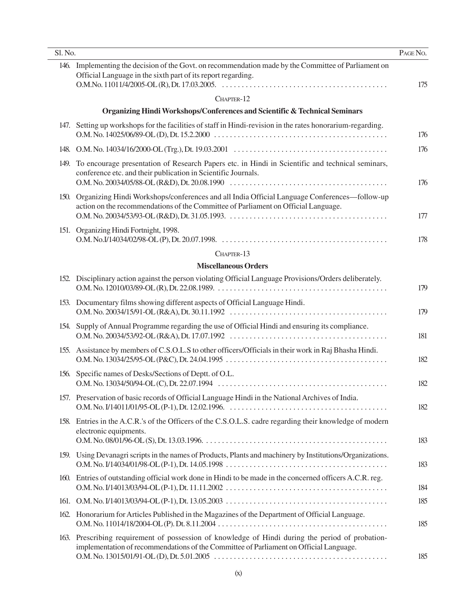| Sl. No. |                                                                                                                                                                                            | PAGE No. |
|---------|--------------------------------------------------------------------------------------------------------------------------------------------------------------------------------------------|----------|
|         | 146. Implementing the decision of the Govt. on recommendation made by the Committee of Parliament on<br>Official Language in the sixth part of its report regarding.                       | 175      |
|         | CHAPTER-12                                                                                                                                                                                 |          |
|         | Organizing Hindi Workshops/Conferences and Scientific & Technical Seminars                                                                                                                 |          |
|         | 147. Setting up workshops for the facilities of staff in Hindi-revision in the rates honorarium-regarding.                                                                                 | 176      |
|         |                                                                                                                                                                                            | 176      |
| 149.    | To encourage presentation of Research Papers etc. in Hindi in Scientific and technical seminars,<br>conference etc. and their publication in Scientific Journals.                          | 176      |
|         | 150. Organizing Hindi Workshops/conferences and all India Official Language Conferences—follow-up<br>action on the recommendations of the Committee of Parliament on Official Language.    | 177      |
|         | 151. Organizing Hindi Fortnight, 1998.                                                                                                                                                     | 178      |
|         | CHAPTER-13                                                                                                                                                                                 |          |
|         | <b>Miscellaneous Orders</b>                                                                                                                                                                |          |
|         | 152. Disciplinary action against the person violating Official Language Provisions/Orders deliberately.                                                                                    | 179      |
|         | 153. Documentary films showing different aspects of Official Language Hindi.                                                                                                               | 179      |
|         | 154. Supply of Annual Programme regarding the use of Official Hindi and ensuring its compliance.                                                                                           | 181      |
|         | 155. Assistance by members of C.S.O.L.S to other officers/Officials in their work in Raj Bhasha Hindi.                                                                                     | 182      |
|         | 156. Specific names of Desks/Sections of Deptt. of O.L.                                                                                                                                    | 182      |
|         | 157. Preservation of basic records of Official Language Hindi in the National Archives of India.                                                                                           | 182      |
|         | 158. Entries in the A.C.R.'s of the Officers of the C.S.O.L.S. cadre regarding their knowledge of modern<br>electronic equipments.                                                         | 183      |
|         | 159. Using Devanagri scripts in the names of Products, Plants and machinery by Institutions/Organizations.                                                                                 | 183      |
|         | 160. Entries of outstanding official work done in Hindi to be made in the concerned officers A.C.R. reg.                                                                                   | 184      |
|         |                                                                                                                                                                                            | 185      |
|         | 162. Honorarium for Articles Published in the Magazines of the Department of Official Language.                                                                                            | 185      |
|         | 163. Prescribing requirement of possession of knowledge of Hindi during the period of probation-<br>implementation of recommendations of the Committee of Parliament on Official Language. | 185      |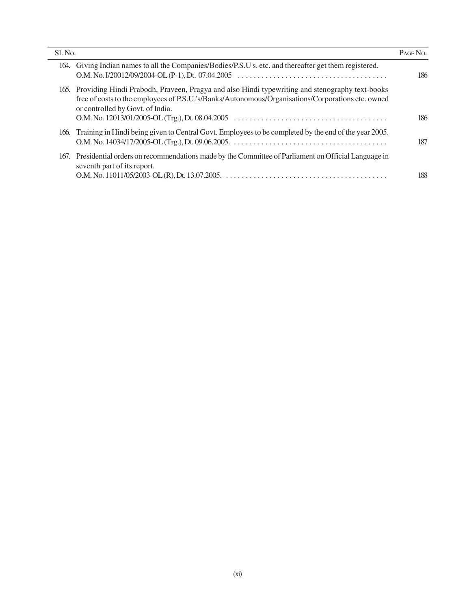| Sl. No.                                                                                                                                                                                                                                      | PAGE NO. |
|----------------------------------------------------------------------------------------------------------------------------------------------------------------------------------------------------------------------------------------------|----------|
| 164. Giving Indian names to all the Companies/Bodies/P.S.U's. etc. and thereafter get them registered.                                                                                                                                       | 186      |
| 165. Providing Hindi Prabodh, Praveen, Pragya and also Hindi typewriting and stenography text-books<br>free of costs to the employees of P.S.U.'s/Banks/Autonomous/Organisations/Corporations etc. owned<br>or controlled by Govt. of India. | 186      |
| 166. Training in Hindi being given to Central Govt. Employees to be completed by the end of the year 2005.                                                                                                                                   | 187      |
| 167. Presidential orders on recommendations made by the Committee of Parliament on Official Language in<br>seventh part of its report.                                                                                                       | 188      |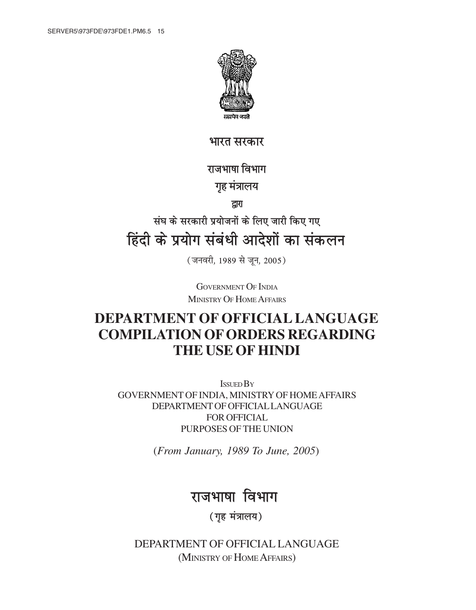

<u>भारत सरकार</u>

## राजभाषा विभाग

## **गृह मंत्रालय**

**}kjk**

# <u>संघ के सरकारी प्रयोजनों के लिए जारी किए गए</u> <u>हिंदी के प्रयोग संबंधी आदेशों का संकलन</u>

(जनवरी, 1989 से जून, 2005)

GOVERNMENT OF INDIA MINISTRY OF HOME AFFAIRS

# **DEPARTMENT OF OFFICIAL LANGUAGE COMPILATION OF ORDERS REGARDING THE USE OF HINDI**

ISSUED BY GOVERNMENT OF INDIA, MINISTRY OF HOME AFFAIRS DEPARTMENT OF OFFICIAL LANGUAGE FOR OFFICIAL PURPOSES OF THE UNION

(*From January, 1989 To June, 2005*)

# राजभाषा विभाग

**(गृह मंत्रालय)** 

DEPARTMENT OF OFFICIAL LANGUAGE (MINISTRY OF HOME AFFAIRS)